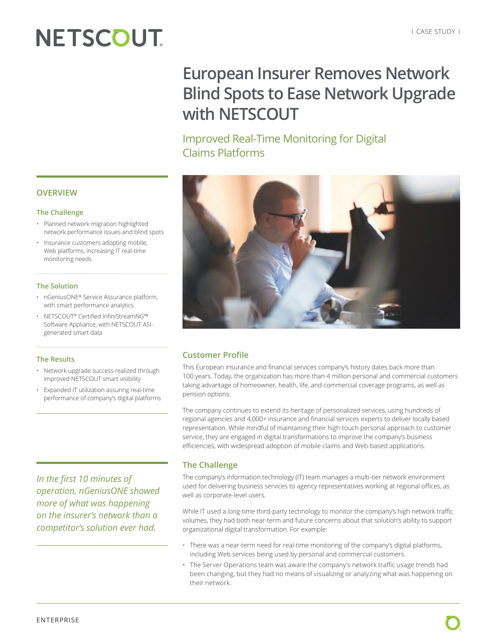# NETSCOUT

## **European Insurer Removes Network Blind Spots to Ease Network Upgrade with NETSCOUT**

### Improved Real-Time Monitoring for Digital Claims Platforms



#### **Customer Profile**

This European insurance and financial services company's history dates back more than 100 years. Today, the organization has more than 4 million personal and commercial customers taking advantage of homeowner, health, life, and commercial coverage programs, as well as pension options.

The company continues to extend its heritage of personalized services, using hundreds of regional agencies and 4,000+ insurance and financial services experts to deliver locally based representation. While mindful of maintaining their high-touch personal approach to customer service, they are engaged in digital transformations to improve the company's business efficiencies, with widespread adoption of mobile claims and Web-based applications.

#### **The Challenge**

The company's information technology (IT) team manages a multi-tier network environment used for delivering business services to agency representatives working at regional offices, as well as corporate-level users.

While IT used a long-time third-party technology to monitor the company's high network traffic volumes, they had both near-term and future concerns about that solution's ability to support organizational digital transformation. For example:

- There was a near-term need for real-time monitoring of the company's digital platforms, including Web services being used by personal and commercial customers.
- The Server Operations team was aware the company's network traffic usage trends had been changing, but they had no means of visualizing or analyzing what was happening on their network.

#### **OVERVIEW**

#### **The Challenge**

- Planned network migration highlighted network performance issues and blind spots
- Insurance customers adopting mobile, Web platforms, increasing IT real-time monitoring needs

#### **The Solution**

- nGeniusONE® Service Assurance platform, with smart performance analytics
- NETSCOUT® Certified InfiniStreamNG™ Software Appliance, with NETSCOUT ASIgenerated smart data

#### **The Results**

- Network upgrade success realized through improved NETSCOUT smart visibility
- Expanded IT utilization assuring real-time performance of company's digital platforms

*In the first 10 minutes of operation, nGeniusONE showed more of what was happening on the insurer's network than a competitor's solution ever had.*